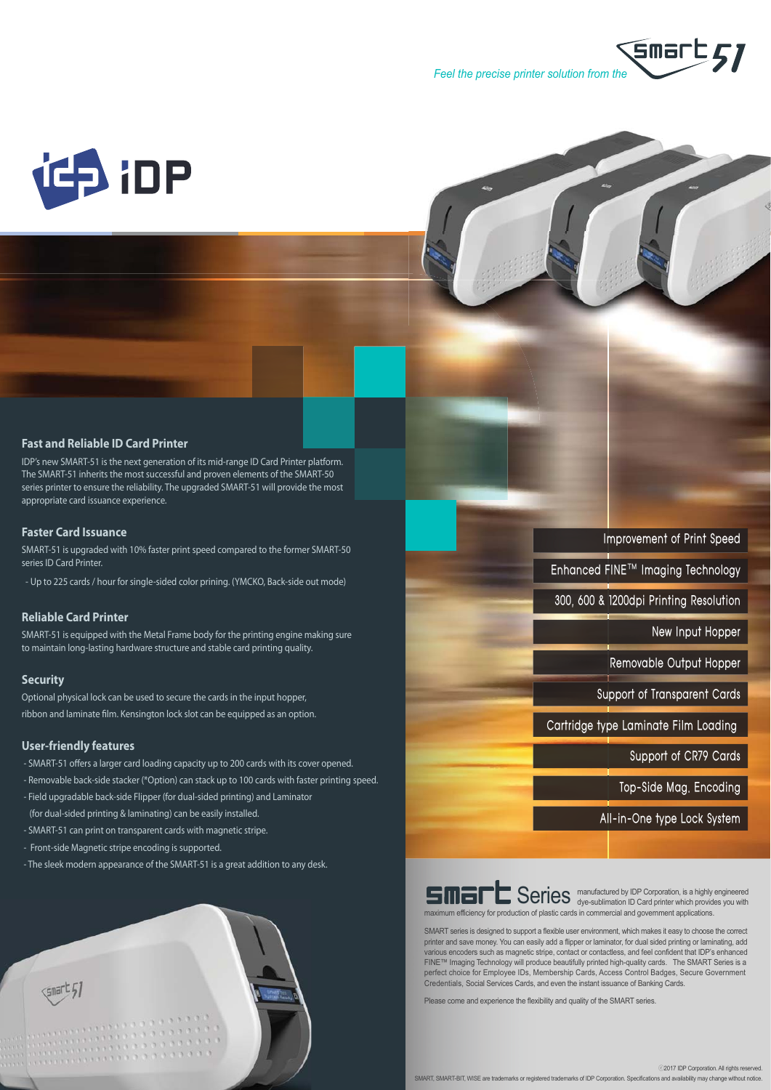



#### **Fast and Reliable ID Card Printer**

IDP's new SMART-51 is the next generation of its mid-range ID Card Printer platform. The SMART-51 inherits the most successful and proven elements of the SMART-50 series printer to ensure the reliability. The upgraded SMART-51 will provide the most appropriate card issuance experience.

#### **Faster Card Issuance**

SMART-51 is upgraded with 10% faster print speed compared to the former SMART-50 series ID Card Printer.

- Up to 225 cards / hour for single-sided color prining. (YMCKO, Back-side out mode)

### **Reliable Card Printer**

SMART-51 is equipped with the Metal Frame body for the printing engine making sure to maintain long-lasting hardware structure and stable card printing quality.

#### **Security**

Optional physical lock can be used to secure the cards in the input hopper, ribbon and laminate film. Kensington lock slot can be equipped as an option.

#### **User-friendly features**

 - SMART-51 offers a larger card loading capacity up to 200 cards with its cover opened. - Removable back-side stacker (\*Option) can stack up to 100 cards with faster printing speed.

- Field upgradable back-side Flipper (for dual-sided printing) and Laminator
- (for dual-sided printing & laminating) can be easily installed.
- SMART-51 can print on transparent cards with magnetic stripe.
- Front-side Magnetic stripe encoding is supported.
- The sleek modern appearance of the SMART-51 is a great addition to any desk.



|  |  | <b>Series</b> manuf |  |
|--|--|---------------------|--|
|  |  |                     |  |

actured by IDP Corporation, is a highly engineered Series manufactured by IDP Corporation, is a highly engineered<br>Geries dye-sublimation ID Card printer which provides you with maximum efficiency for production of plastic cards in commercial and government applications.

Improvement of Print Speed

New Input Hopper

Removable Output Hopper

Support of CR79 Cards

Top-Side Mag, Encoding

All-in-One type Lock System

Support of Transparent Cards

Enhanced FINE™ Imaging Technology

300, 600 & 1200dpi Printing Resolution

Cartridge type Laminate Film Loading

SMART series is designed to support a flexible user environment, which makes it easy to choose the correct printer and save money. You can easily add a flipper or laminator, for dual sided printing or laminating, add printing or laminating, add various encoders such as magnetic stripe, contact or contactless, and feel confident that IDP's enhanced FINE™ Imaging Technology will produce beautifully printed high-quality cards. The SMART Series is a perfect choice for Employee IDs, Membership Cards, Access Control Badges, Secure Government Credentials, Social Services Cards, and even the instant issuance of Banking Cards.

Please come and experience the flexibility and quality of the SMART series.